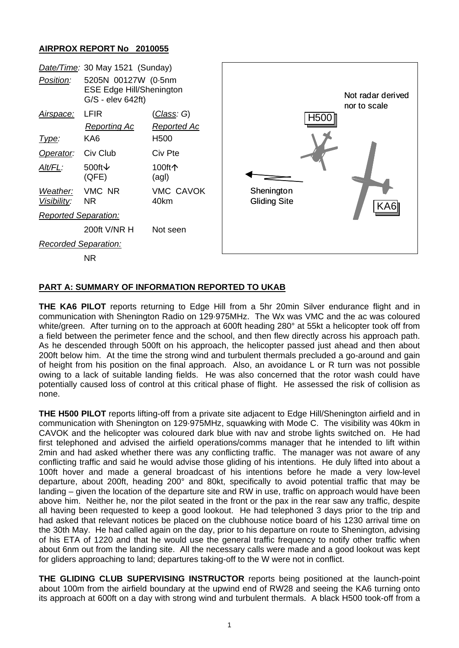## **AIRPROX REPORT No 2010055**



## **PART A: SUMMARY OF INFORMATION REPORTED TO UKAB**

**THE KA6 PILOT** reports returning to Edge Hill from a 5hr 20min Silver endurance flight and in communication with Shenington Radio on 129·975MHz. The Wx was VMC and the ac was coloured white/green. After turning on to the approach at 600ft heading 280° at 55kt a helicopter took off from a field between the perimeter fence and the school, and then flew directly across his approach path. As he descended through 500ft on his approach, the helicopter passed just ahead and then about 200ft below him. At the time the strong wind and turbulent thermals precluded a go-around and gain of height from his position on the final approach. Also, an avoidance L or R turn was not possible owing to a lack of suitable landing fields. He was also concerned that the rotor wash could have potentially caused loss of control at this critical phase of flight. He assessed the risk of collision as none.

**THE H500 PILOT** reports lifting-off from a private site adjacent to Edge Hill/Shenington airfield and in communication with Shenington on 129·975MHz, squawking with Mode C. The visibility was 40km in CAVOK and the helicopter was coloured dark blue with nav and strobe lights switched on. He had first telephoned and advised the airfield operations/comms manager that he intended to lift within 2min and had asked whether there was any conflicting traffic. The manager was not aware of any conflicting traffic and said he would advise those gliding of his intentions. He duly lifted into about a 100ft hover and made a general broadcast of his intentions before he made a very low-level departure, about 200ft, heading 200° and 80kt, specifically to avoid potential traffic that may be landing – given the location of the departure site and RW in use, traffic on approach would have been above him. Neither he, nor the pilot seated in the front or the pax in the rear saw any traffic, despite all having been requested to keep a good lookout. He had telephoned 3 days prior to the trip and had asked that relevant notices be placed on the clubhouse notice board of his 1230 arrival time on the 30th May. He had called again on the day, prior to his departure on route to Shenington, advising of his ETA of 1220 and that he would use the general traffic frequency to notify other traffic when about 6nm out from the landing site. All the necessary calls were made and a good lookout was kept for gliders approaching to land; departures taking-off to the W were not in conflict.

**THE GLIDING CLUB SUPERVISING INSTRUCTOR** reports being positioned at the launch-point about 100m from the airfield boundary at the upwind end of RW28 and seeing the KA6 turning onto its approach at 600ft on a day with strong wind and turbulent thermals. A black H500 took-off from a